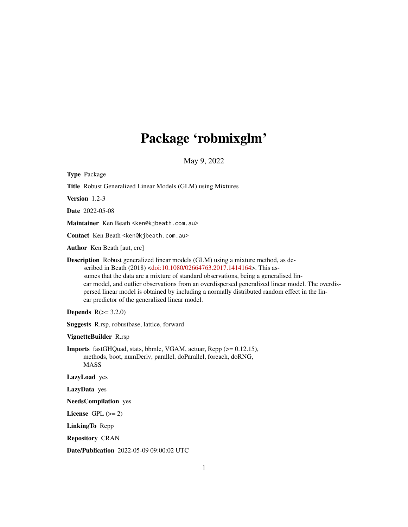# Package 'robmixglm'

May 9, 2022

<span id="page-0-0"></span>

| <b>Type Package</b>                                                                                                                                                                                                                                                                                                                                                                                                                                                                                                                   |
|---------------------------------------------------------------------------------------------------------------------------------------------------------------------------------------------------------------------------------------------------------------------------------------------------------------------------------------------------------------------------------------------------------------------------------------------------------------------------------------------------------------------------------------|
| Title Robust Generalized Linear Models (GLM) using Mixtures                                                                                                                                                                                                                                                                                                                                                                                                                                                                           |
| Version 1.2-3                                                                                                                                                                                                                                                                                                                                                                                                                                                                                                                         |
| <b>Date</b> 2022-05-08                                                                                                                                                                                                                                                                                                                                                                                                                                                                                                                |
| Maintainer Ken Beath <ken@kjbeath.com.au></ken@kjbeath.com.au>                                                                                                                                                                                                                                                                                                                                                                                                                                                                        |
| Contact Ken Beath <ken@kjbeath.com.au></ken@kjbeath.com.au>                                                                                                                                                                                                                                                                                                                                                                                                                                                                           |
| <b>Author</b> Ken Beath [aut, cre]                                                                                                                                                                                                                                                                                                                                                                                                                                                                                                    |
| <b>Description</b> Robust generalized linear models (GLM) using a mixture method, as de-<br>scribed in Beath (2018) <doi:10.1080 02664763.2017.1414164="">. This as-<br/>sumes that the data are a mixture of standard observations, being a generalised lin-<br/>ear model, and outlier observations from an overdispersed generalized linear model. The overdis-<br/>persed linear model is obtained by including a normally distributed random effect in the lin-<br/>ear predictor of the generalized linear model.</doi:10.1080> |
| <b>Depends</b> $R(>= 3.2.0)$                                                                                                                                                                                                                                                                                                                                                                                                                                                                                                          |
| <b>Suggests</b> R.rsp, robustbase, lattice, forward                                                                                                                                                                                                                                                                                                                                                                                                                                                                                   |
| VignetteBuilder R.rsp                                                                                                                                                                                                                                                                                                                                                                                                                                                                                                                 |
| <b>Imports</b> fastGHQuad, stats, bbmle, VGAM, actuar, Rcpp (>= 0.12.15),<br>methods, boot, numDeriv, parallel, doParallel, foreach, doRNG,<br><b>MASS</b>                                                                                                                                                                                                                                                                                                                                                                            |
| LazyLoad yes                                                                                                                                                                                                                                                                                                                                                                                                                                                                                                                          |
| LazyData yes                                                                                                                                                                                                                                                                                                                                                                                                                                                                                                                          |
| <b>NeedsCompilation</b> yes                                                                                                                                                                                                                                                                                                                                                                                                                                                                                                           |
| License GPL $(>= 2)$                                                                                                                                                                                                                                                                                                                                                                                                                                                                                                                  |
| LinkingTo Repp                                                                                                                                                                                                                                                                                                                                                                                                                                                                                                                        |
| <b>Repository CRAN</b>                                                                                                                                                                                                                                                                                                                                                                                                                                                                                                                |
| <b>Date/Publication</b> 2022-05-09 09:00:02 UTC                                                                                                                                                                                                                                                                                                                                                                                                                                                                                       |

1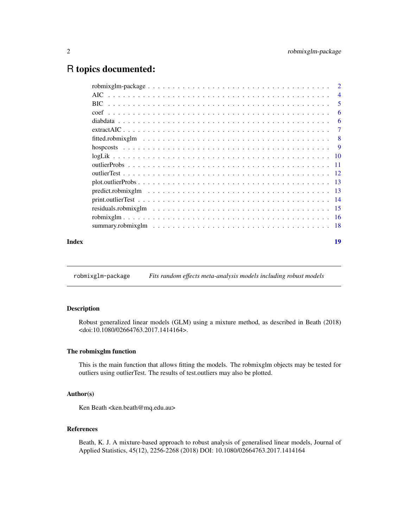# <span id="page-1-0"></span>R topics documented:

|       | AIC. | $\overline{4}$ |
|-------|------|----------------|
|       | BIC. | 5              |
|       |      | 6              |
|       |      | 6              |
|       |      | 7              |
|       |      |                |
|       |      |                |
|       |      |                |
|       |      |                |
|       |      |                |
|       |      |                |
|       |      |                |
|       |      |                |
|       |      |                |
|       |      |                |
|       |      |                |
| Index |      | 19             |

robmixglm-package *Fits random effects meta-analysis models including robust models*

#### Description

Robust generalized linear models (GLM) using a mixture method, as described in Beath (2018) <doi:10.1080/02664763.2017.1414164>.

# The robmixglm function

This is the main function that allows fitting the models. The robmixglm objects may be tested for outliers using outlierTest. The results of test.outliers may also be plotted.

# Author(s)

Ken Beath <ken.beath@mq.edu.au>

# References

Beath, K. J. A mixture-based approach to robust analysis of generalised linear models, Journal of Applied Statistics, 45(12), 2256-2268 (2018) DOI: 10.1080/02664763.2017.1414164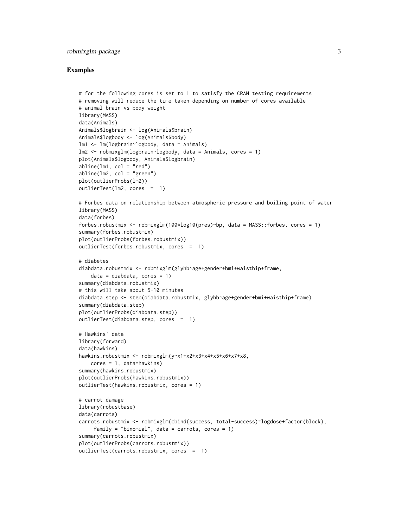# robmixglm-package 3

```
# for the following cores is set to 1 to satisfy the CRAN testing requirements
# removing will reduce the time taken depending on number of cores available
# animal brain vs body weight
library(MASS)
data(Animals)
Animals$logbrain <- log(Animals$brain)
Animals$logbody <- log(Animals$body)
lm1 <- lm(logbrain~logbody, data = Animals)
lm2 <- robmixglm(logbrain~logbody, data = Animals, cores = 1)
plot(Animals$logbody, Animals$logbrain)
abline(lm1, col = "red")abline(lm2, col = "green")plot(outlierProbs(lm2))
outlierTest(lm2, cores = 1)
# Forbes data on relationship between atmospheric pressure and boiling point of water
library(MASS)
data(forbes)
forbes.robustmix <- robmixglm(100*log10(pres)~bp, data = MASS::forbes, cores = 1)
summary(forbes.robustmix)
plot(outlierProbs(forbes.robustmix))
outlierTest(forbes.robustmix, cores = 1)
# diabetes
diabdata.robustmix <- robmixglm(glyhb~age+gender+bmi+waisthip+frame,
    data = diabdata, cores = 1)summary(diabdata.robustmix)
# this will take about 5-10 minutes
diabdata.step <- step(diabdata.robustmix, glyhb~age+gender+bmi+waisthip+frame)
summary(diabdata.step)
plot(outlierProbs(diabdata.step))
outlierTest(diabdata.step, cores = 1)
# Hawkins' data
library(forward)
data(hawkins)
hawkins.robustmix <- robmixglm(y~x1+x2+x3+x4+x5+x6+x7+x8,
   cores = 1, data=hawkins)
summary(hawkins.robustmix)
plot(outlierProbs(hawkins.robustmix))
outlierTest(hawkins.robustmix, cores = 1)
# carrot damage
library(robustbase)
data(carrots)
carrots.robustmix <- robmixglm(cbind(success, total-success)~logdose+factor(block),
     family = "binomial", data = carrots, cores = 1)
summary(carrots.robustmix)
plot(outlierProbs(carrots.robustmix))
outlierTest(carrots.robustmix, cores = 1)
```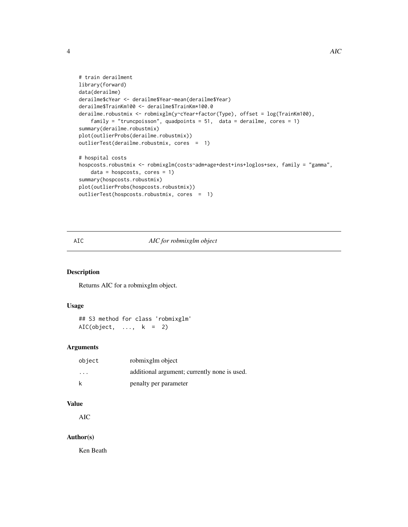```
# train derailment
library(forward)
data(derailme)
derailme$cYear <- derailme$Year-mean(derailme$Year)
derailme$TrainKm100 <- derailme$TrainKm*100.0
derailme.robustmix <- robmixglm(y~cYear+factor(Type), offset = log(TrainKm100),
    family = "truncpoisson", quadpoints = 51, data = derailme, cores = 1)
summary(derailme.robustmix)
plot(outlierProbs(derailme.robustmix))
outlierTest(derailme.robustmix, cores = 1)
# hospital costs
hospcosts.robustmix <- robmixglm(costs~adm+age+dest+ins+loglos+sex, family = "gamma",
    data = hospcosts, cores = 1)summary(hospcosts.robustmix)
plot(outlierProbs(hospcosts.robustmix))
outlierTest(hospcosts.robustmix, cores = 1)
```
# AIC *AIC for robmixglm object*

#### Description

Returns AIC for a robmixglm object.

#### Usage

```
## S3 method for class 'robmixglm'
AIC(object, \dots, k = 2)
```
# Arguments

| object                  | robmixglm object                             |
|-------------------------|----------------------------------------------|
| $\cdot$ $\cdot$ $\cdot$ | additional argument; currently none is used. |
| k                       | penalty per parameter                        |

# Value

AIC

#### Author(s)

Ken Beath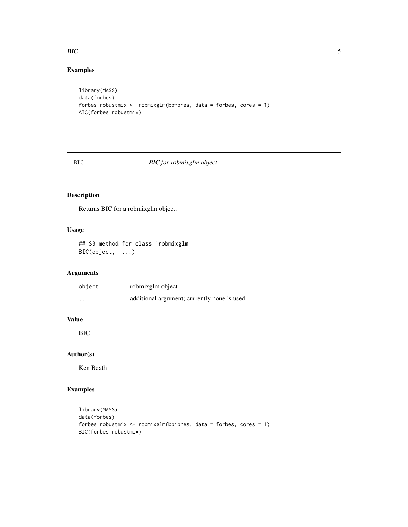### <span id="page-4-0"></span>BIC 5

# Examples

```
library(MASS)
data(forbes)
forbes.robustmix <- robmixglm(bp~pres, data = forbes, cores = 1)
AIC(forbes.robustmix)
```
# BIC *BIC for robmixglm object*

# Description

Returns BIC for a robmixglm object.

# Usage

```
## S3 method for class 'robmixglm'
BIC(object, ...)
```
# Arguments

| object   | robmixglm object                             |
|----------|----------------------------------------------|
| $\cdots$ | additional argument; currently none is used. |

# Value

BIC

# Author(s)

Ken Beath

```
library(MASS)
data(forbes)
forbes.robustmix <- robmixglm(bp~pres, data = forbes, cores = 1)
BIC(forbes.robustmix)
```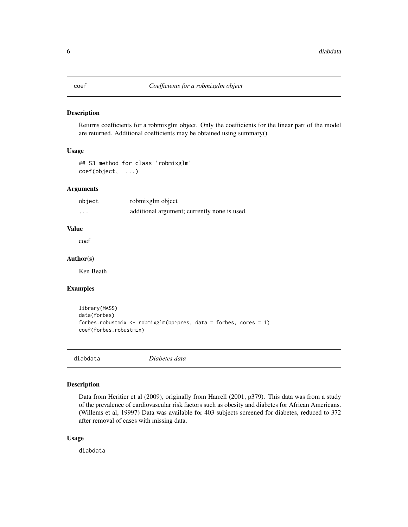<span id="page-5-0"></span>

Returns coefficients for a robmixglm object. Only the coefficients for the linear part of the model are returned. Additional coefficients may be obtained using summary().

#### Usage

```
## S3 method for class 'robmixglm'
coef(object, ...)
```
# Arguments

| object  | robmixglm object                             |
|---------|----------------------------------------------|
| $\cdot$ | additional argument; currently none is used. |

#### Value

coef

#### Author(s)

Ken Beath

# Examples

```
library(MASS)
data(forbes)
forbes.robustmix <- robmixglm(bp~pres, data = forbes, cores = 1)
coef(forbes.robustmix)
```
diabdata *Diabetes data*

# Description

Data from Heritier et al (2009), originally from Harrell (2001, p379). This data was from a study of the prevalence of cardiovascular risk factors such as obesity and diabetes for African Americans. (Willems et al, 19997) Data was available for 403 subjects screened for diabetes, reduced to 372 after removal of cases with missing data.

#### Usage

diabdata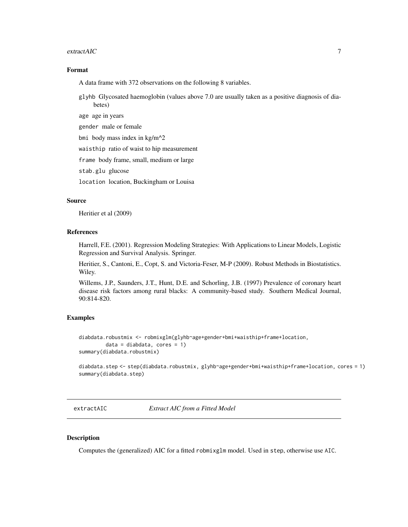#### <span id="page-6-0"></span>extractAIC 22 and 22 and 22 and 23 and 23 and 23 and 23 and 23 and 23 and 23 and 23 and 23 and 23 and 23 and 23 and 23 and 23 and 23 and 23 and 23 and 23 and 23 and 23 and 23 and 23 and 23 and 23 and 23 and 23 and 23 and 2

#### Format

A data frame with 372 observations on the following 8 variables.

glyhb Glycosated haemoglobin (values above 7.0 are usually taken as a positive diagnosis of diabetes)

age age in years

gender male or female

bmi body mass index in kg/m^2

waisthip ratio of waist to hip measurement

frame body frame, small, medium or large

stab.glu glucose

location location, Buckingham or Louisa

#### Source

Heritier et al (2009)

# References

Harrell, F.E. (2001). Regression Modeling Strategies: With Applications to Linear Models, Logistic Regression and Survival Analysis. Springer.

Heritier, S., Cantoni, E., Copt, S. and Victoria-Feser, M-P (2009). Robust Methods in Biostatistics. Wiley.

Willems, J.P., Saunders, J.T., Hunt, D.E. and Schorling, J.B. (1997) Prevalence of coronary heart disease risk factors among rural blacks: A community-based study. Southern Medical Journal, 90:814-820.

#### Examples

```
diabdata.robustmix <- robmixglm(glyhb~age+gender+bmi+waisthip+frame+location,
        data = diabdata, cores = 1)summary(diabdata.robustmix)
```
diabdata.step <- step(diabdata.robustmix, glyhb~age+gender+bmi+waisthip+frame+location, cores = 1) summary(diabdata.step)

<span id="page-6-1"></span>extractAIC *Extract AIC from a Fitted Model*

#### Description

Computes the (generalized) AIC for a fitted robmixglm model. Used in step, otherwise use AIC.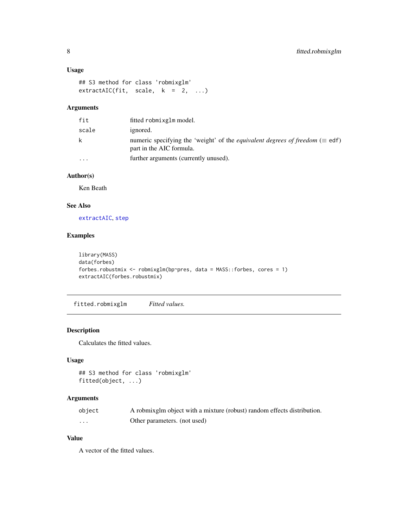#### <span id="page-7-0"></span>Usage

```
## S3 method for class 'robmixglm'
extractAIC(fit, scale, k = 2, ...)
```
# Arguments

| fit      | fitted robmixglm model.                                                                                                 |
|----------|-------------------------------------------------------------------------------------------------------------------------|
| scale    | ignored.                                                                                                                |
| k        | numeric specifying the 'weight' of the <i>equivalent degrees of freedom</i> ( $\equiv$ edf)<br>part in the AIC formula. |
| $\cdots$ | further arguments (currently unused).                                                                                   |

# Author(s)

Ken Beath

# See Also

[extractAIC](#page-6-1), [step](#page-0-0)

# Examples

```
library(MASS)
data(forbes)
forbes.robustmix <- robmixglm(bp~pres, data = MASS::forbes, cores = 1)
extractAIC(forbes.robustmix)
```
fitted.robmixglm *Fitted values.*

#### Description

Calculates the fitted values.

#### Usage

```
## S3 method for class 'robmixglm'
fitted(object, ...)
```
# Arguments

| object | A robmixglm object with a mixture (robust) random effects distribution. |
|--------|-------------------------------------------------------------------------|
| .      | Other parameters. (not used)                                            |

# Value

A vector of the fitted values.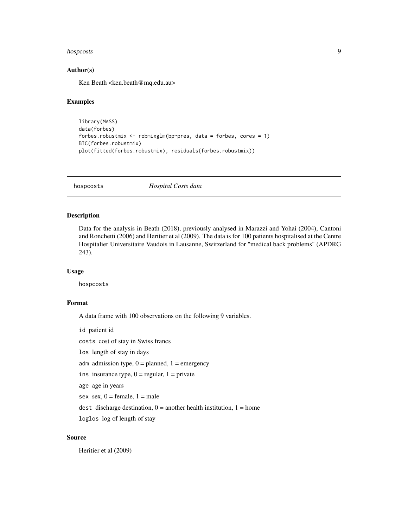#### <span id="page-8-0"></span>hospcosts and the contract of the contract of the contract of the contract of the contract of the contract of the contract of the contract of the contract of the contract of the contract of the contract of the contract of

#### Author(s)

Ken Beath <ken.beath@mq.edu.au>

#### Examples

```
library(MASS)
data(forbes)
forbes.robustmix <- robmixglm(bp~pres, data = forbes, cores = 1)
BIC(forbes.robustmix)
plot(fitted(forbes.robustmix), residuals(forbes.robustmix))
```
hospcosts *Hospital Costs data*

# Description

Data for the analysis in Beath (2018), previously analysed in Marazzi and Yohai (2004), Cantoni and Ronchetti (2006) and Heritier et al (2009). The data is for 100 patients hospitalised at the Centre Hospitalier Universitaire Vaudois in Lausanne, Switzerland for "medical back problems" (APDRG 243).

#### Usage

hospcosts

#### Format

A data frame with 100 observations on the following 9 variables.

id patient id costs cost of stay in Swiss francs los length of stay in days adm admission type,  $0 =$  planned,  $1 =$  emergency ins insurance type,  $0 =$  regular,  $1 =$  private age age in years sex sex,  $0 =$  female,  $1 =$  male dest discharge destination,  $0 =$  another health institution,  $1 =$  home loglos log of length of stay

# Source

Heritier et al (2009)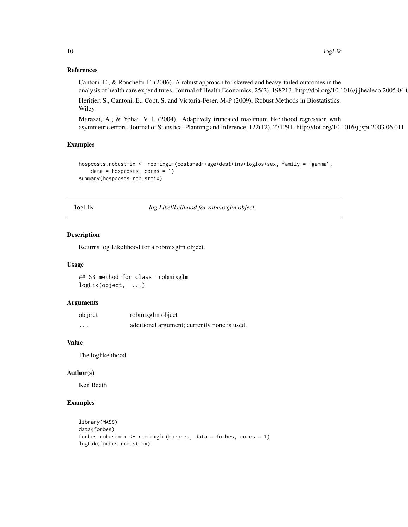#### <span id="page-9-0"></span>References

Cantoni, E., & Ronchetti, E. (2006). A robust approach for skewed and heavy-tailed outcomes in the analysis of health care expenditures. Journal of Health Economics, 25(2), 198213. http://doi.org/10.1016/j.jhealeco.2005.04.01

Heritier, S., Cantoni, E., Copt, S. and Victoria-Feser, M-P (2009). Robust Methods in Biostatistics. Wiley.

Marazzi, A., & Yohai, V. J. (2004). Adaptively truncated maximum likelihood regression with asymmetric errors. Journal of Statistical Planning and Inference, 122(12), 271291. http://doi.org/10.1016/j.jspi.2003.06.011

#### Examples

```
hospcosts.robustmix <- robmixglm(costs~adm+age+dest+ins+loglos+sex, family = "gamma",
   data = hospcosts, cores = 1)summary(hospcosts.robustmix)
```
logLik *log Likelikelihood for robmixglm object*

#### Description

Returns log Likelihood for a robmixglm object.

#### Usage

## S3 method for class 'robmixglm' logLik(object, ...)

#### Arguments

| object | robmixglm object                             |
|--------|----------------------------------------------|
| .      | additional argument; currently none is used. |

#### Value

The loglikelihood.

#### Author(s)

Ken Beath

```
library(MASS)
data(forbes)
forbes.robustmix \leq robmixglm(bp\simpres, data = forbes, cores = 1)
logLik(forbes.robustmix)
```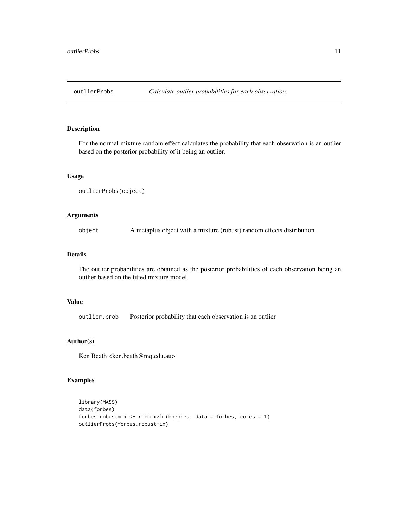<span id="page-10-0"></span>

For the normal mixture random effect calculates the probability that each observation is an outlier based on the posterior probability of it being an outlier.

#### Usage

```
outlierProbs(object)
```
# Arguments

object A metaplus object with a mixture (robust) random effects distribution.

#### Details

The outlier probabilities are obtained as the posterior probabilities of each observation being an outlier based on the fitted mixture model.

#### Value

outlier.prob Posterior probability that each observation is an outlier

#### Author(s)

Ken Beath <ken.beath@mq.edu.au>

```
library(MASS)
data(forbes)
forbes.robustmix <- robmixglm(bp~pres, data = forbes, cores = 1)
outlierProbs(forbes.robustmix)
```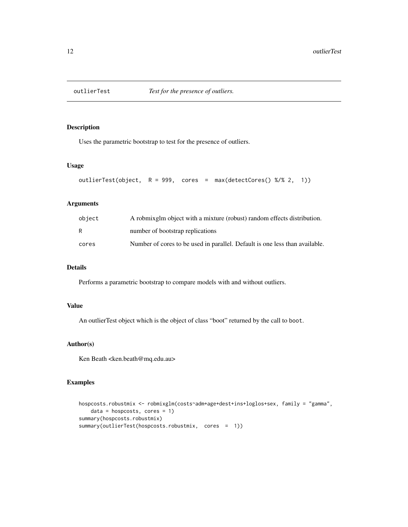<span id="page-11-0"></span>

Uses the parametric bootstrap to test for the presence of outliers.

#### Usage

```
outlierTest(object, R = 999, cores = max(detectCores() %/% 2, 1))
```
# Arguments

| object | A robmix glm object with a mixture (robust) random effects distribution.    |
|--------|-----------------------------------------------------------------------------|
| R      | number of bootstrap replications                                            |
| cores  | Number of cores to be used in parallel. Default is one less than available. |

# Details

Performs a parametric bootstrap to compare models with and without outliers.

#### Value

An outlierTest object which is the object of class "boot" returned by the call to boot.

# Author(s)

Ken Beath <ken.beath@mq.edu.au>

```
hospcosts.robustmix <- robmixglm(costs~adm+age+dest+ins+loglos+sex, family = "gamma",
   data = hospcosts, cores = 1)summary(hospcosts.robustmix)
summary(outlierTest(hospcosts.robustmix, cores = 1))
```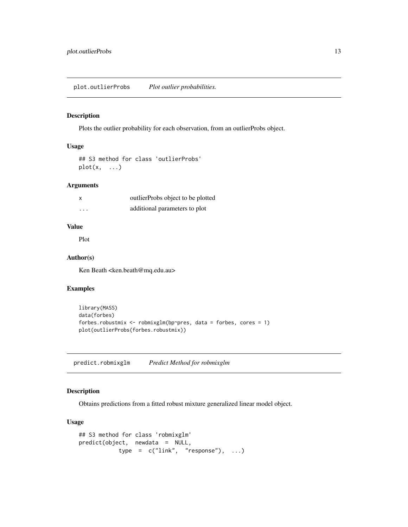<span id="page-12-0"></span>Plots the outlier probability for each observation, from an outlierProbs object.

# Usage

```
## S3 method for class 'outlierProbs'
plot(x, \ldots)
```
# Arguments

| x | outlierProbs object to be plotted |
|---|-----------------------------------|
| . | additional parameters to plot     |

# Value

Plot

#### Author(s)

Ken Beath <ken.beath@mq.edu.au>

#### Examples

```
library(MASS)
data(forbes)
forbes.robustmix <- robmixglm(bp~pres, data = forbes, cores = 1)
plot(outlierProbs(forbes.robustmix))
```
predict.robmixglm *Predict Method for robmixglm*

# Description

Obtains predictions from a fitted robust mixture generalized linear model object.

# Usage

```
## S3 method for class 'robmixglm'
predict(object, newdata = NULL,
           type = c("link", "response"), ...)
```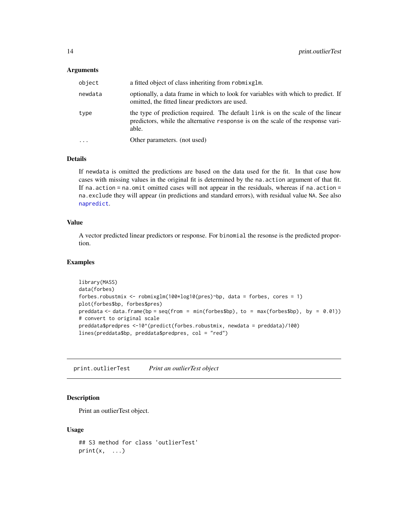#### <span id="page-13-0"></span>**Arguments**

| object  | a fitted object of class inheriting from robmixglm.                                                                                                                          |  |
|---------|------------------------------------------------------------------------------------------------------------------------------------------------------------------------------|--|
| newdata | optionally, a data frame in which to look for variables with which to predict. If<br>omitted, the fitted linear predictors are used.                                         |  |
| type    | the type of prediction required. The default link is on the scale of the linear<br>predictors, while the alternative response is on the scale of the response vari-<br>able. |  |
| $\cdot$ | Other parameters. (not used)                                                                                                                                                 |  |

#### Details

If newdata is omitted the predictions are based on the data used for the fit. In that case how cases with missing values in the original fit is determined by the na.action argument of that fit. If na. action  $=$  na. omit omitted cases will not appear in the residuals, whereas if na. action  $=$ na.exclude they will appear (in predictions and standard errors), with residual value NA. See also [napredict](#page-0-0).

#### Value

A vector predicted linear predictors or response. For binomial the resonse is the predicted proportion.

#### Examples

```
library(MASS)
data(forbes)
forbes.robustmix <- robmixglm(100*log10(pres)~bp, data = forbes, cores = 1)
plot(forbes$bp, forbes$pres)
preddata \leq data.frame(bp = seq(from = min(forbes$bp), to = max(forbes$bp), by = 0.01))
# convert to original scale
preddata$predpres <-10^(predict(forbes.robustmix, newdata = preddata)/100)
lines(preddata$bp, preddata$predpres, col = "red")
```
print.outlierTest *Print an outlierTest object*

#### Description

Print an outlierTest object.

#### Usage

```
## S3 method for class 'outlierTest'
print(x, \ldots)
```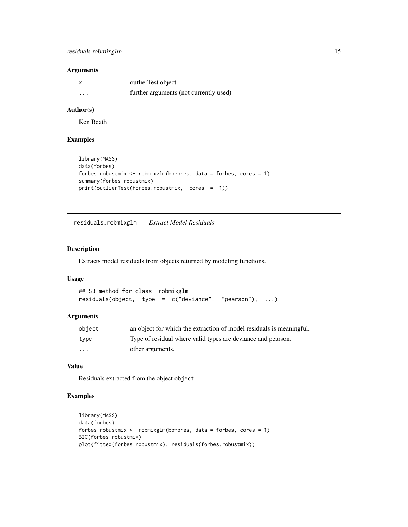# <span id="page-14-0"></span>residuals.robmixglm 15

#### Arguments

|         | outlierTest object                     |
|---------|----------------------------------------|
| $\cdot$ | further arguments (not currently used) |

#### Author(s)

Ken Beath

# Examples

```
library(MASS)
data(forbes)
forbes.robustmix \leq robmixglm(bp~pres, data = forbes, cores = 1)
summary(forbes.robustmix)
print(outlierTest(forbes.robustmix, cores = 1))
```
residuals.robmixglm *Extract Model Residuals*

# Description

Extracts model residuals from objects returned by modeling functions.

#### Usage

```
## S3 method for class 'robmixglm'
residuals(object, type = c("deviance", "pearson"), ...)
```
#### Arguments

| object   | an object for which the extraction of model residuals is meaningful. |
|----------|----------------------------------------------------------------------|
| type     | Type of residual where valid types are deviance and pearson.         |
| $\cdots$ | other arguments.                                                     |

# Value

Residuals extracted from the object object.

```
library(MASS)
data(forbes)
forbes.robustmix <- robmixglm(bp~pres, data = forbes, cores = 1)
BIC(forbes.robustmix)
plot(fitted(forbes.robustmix), residuals(forbes.robustmix))
```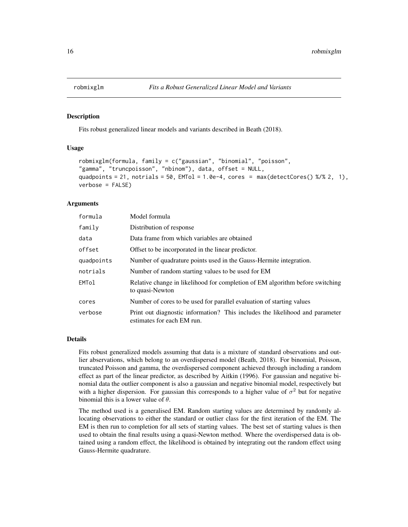<span id="page-15-0"></span>

Fits robust generalized linear models and variants described in Beath (2018).

#### Usage

```
robmixglm(formula, family = c("gaussian", "binomial", "poisson",
"gamma", "truncpoisson", "nbinom"), data, offset = NULL,
quadpoints = 21, notrials = 50, EMTol = 1.0e-4, cores = max(detectCores() % % 2, 1),verbose = FALSE)
```
#### Arguments

| formula            | Model formula                                                                                              |  |
|--------------------|------------------------------------------------------------------------------------------------------------|--|
| family             | Distribution of response                                                                                   |  |
| data               | Data frame from which variables are obtained                                                               |  |
| offset             | Offset to be incorporated in the linear predictor.                                                         |  |
| quadpoints         | Number of quadrature points used in the Gauss-Hermite integration.                                         |  |
| notrials           | Number of random starting values to be used for EM                                                         |  |
| EMT <sub>o</sub> 1 | Relative change in likelihood for completion of EM algorithm before switching<br>to quasi-Newton           |  |
| cores              | Number of cores to be used for parallel evaluation of starting values                                      |  |
| verbose            | Print out diagnostic information? This includes the likelihood and parameter<br>estimates for each EM run. |  |

#### Details

Fits robust generalized models assuming that data is a mixture of standard observations and outlier abservations, which belong to an overdispersed model (Beath, 2018). For binomial, Poisson, truncated Poisson and gamma, the overdispersed component achieved through including a random effect as part of the linear predictor, as described by Aitkin (1996). For gaussian and negative binomial data the outlier component is also a gaussian and negative binomial model, respectively but with a higher dispersion. For gaussian this corresponds to a higher value of  $\sigma^2$  but for negative binomial this is a lower value of  $\theta$ .

The method used is a generalised EM. Random starting values are determined by randomly allocating observations to either the standard or outlier class for the first iteration of the EM. The EM is then run to completion for all sets of starting values. The best set of starting values is then used to obtain the final results using a quasi-Newton method. Where the overdispersed data is obtained using a random effect, the likelihood is obtained by integrating out the random effect using Gauss-Hermite quadrature.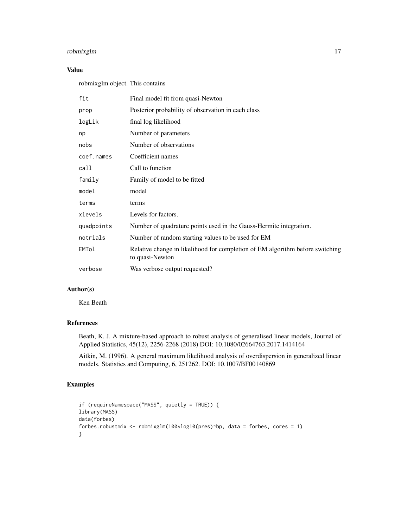# robmixglm 17

# Value

robmixglm object. This contains

| fit        | Final model fit from quasi-Newton                                                                |
|------------|--------------------------------------------------------------------------------------------------|
| prop       | Posterior probability of observation in each class                                               |
| logLik     | final log likelihood                                                                             |
| np         | Number of parameters                                                                             |
| nobs       | Number of observations                                                                           |
| coef.names | Coefficient names                                                                                |
| call       | Call to function                                                                                 |
| family     | Family of model to be fitted                                                                     |
| model      | model                                                                                            |
| terms      | terms                                                                                            |
| xlevels    | Levels for factors.                                                                              |
| quadpoints | Number of quadrature points used in the Gauss-Hermite integration.                               |
| notrials   | Number of random starting values to be used for EM                                               |
| EMTol      | Relative change in likelihood for completion of EM algorithm before switching<br>to quasi-Newton |
| verbose    | Was verbose output requested?                                                                    |

# Author(s)

Ken Beath

# References

Beath, K. J. A mixture-based approach to robust analysis of generalised linear models, Journal of Applied Statistics, 45(12), 2256-2268 (2018) DOI: 10.1080/02664763.2017.1414164

Aitkin, M. (1996). A general maximum likelihood analysis of overdispersion in generalized linear models. Statistics and Computing, 6, 251262. DOI: 10.1007/BF00140869

```
if (requireNamespace("MASS", quietly = TRUE)) {
library(MASS)
data(forbes)
forbes.robustmix <- robmixglm(100*log10(pres)~bp, data = forbes, cores = 1)
}
```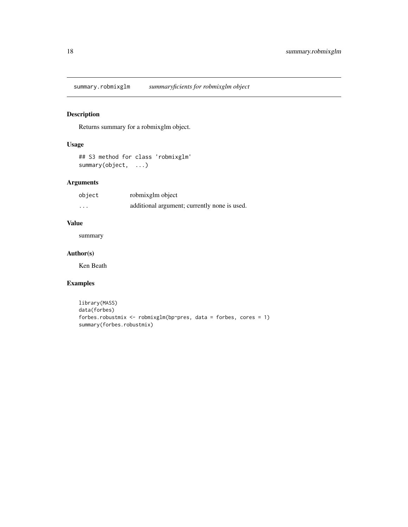<span id="page-17-0"></span>summary.robmixglm *summaryficients for robmixglm object*

# Description

Returns summary for a robmixglm object.

# Usage

```
## S3 method for class 'robmixglm'
summary(object, ...)
```
# Arguments

| object | robmixglm object                             |
|--------|----------------------------------------------|
| .      | additional argument; currently none is used. |

# Value

summary

#### Author(s)

Ken Beath

```
library(MASS)
data(forbes)
forbes.robustmix <- robmixglm(bp~pres, data = forbes, cores = 1)
summary(forbes.robustmix)
```